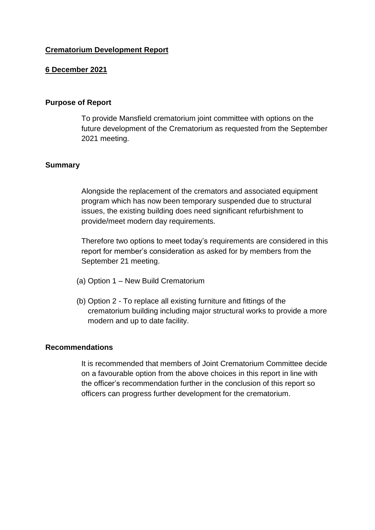# **Crematorium Development Report**

### **6 December 2021**

#### **Purpose of Report**

To provide Mansfield crematorium joint committee with options on the future development of the Crematorium as requested from the September 2021 meeting.

#### **Summary**

Alongside the replacement of the cremators and associated equipment program which has now been temporary suspended due to structural issues, the existing building does need significant refurbishment to provide/meet modern day requirements.

Therefore two options to meet today's requirements are considered in this report for member's consideration as asked for by members from the September 21 meeting.

- (a) Option 1 New Build Crematorium
- (b) Option 2 To replace all existing furniture and fittings of the crematorium building including major structural works to provide a more modern and up to date facility.

#### **Recommendations**

It is recommended that members of Joint Crematorium Committee decide on a favourable option from the above choices in this report in line with the officer's recommendation further in the conclusion of this report so officers can progress further development for the crematorium.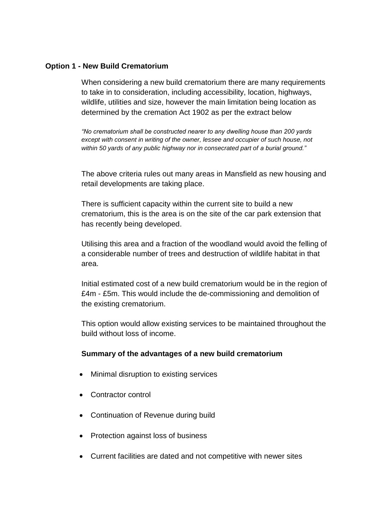### **Option 1 - New Build Crematorium**

When considering a new build crematorium there are many requirements to take in to consideration, including accessibility, location, highways, wildlife, utilities and size, however the main limitation being location as determined by the cremation Act 1902 as per the extract below

*"No crematorium shall be constructed nearer to any dwelling house than 200 yards except with consent in writing of the owner, lessee and occupier of such house, not within 50 yards of any public highway nor in consecrated part of a burial ground."*

The above criteria rules out many areas in Mansfield as new housing and retail developments are taking place.

There is sufficient capacity within the current site to build a new crematorium, this is the area is on the site of the car park extension that has recently being developed.

Utilising this area and a fraction of the woodland would avoid the felling of a considerable number of trees and destruction of wildlife habitat in that area.

Initial estimated cost of a new build crematorium would be in the region of £4m - £5m. This would include the de-commissioning and demolition of the existing crematorium.

This option would allow existing services to be maintained throughout the build without loss of income.

### **Summary of the advantages of a new build crematorium**

- Minimal disruption to existing services
- Contractor control
- Continuation of Revenue during build
- Protection against loss of business
- Current facilities are dated and not competitive with newer sites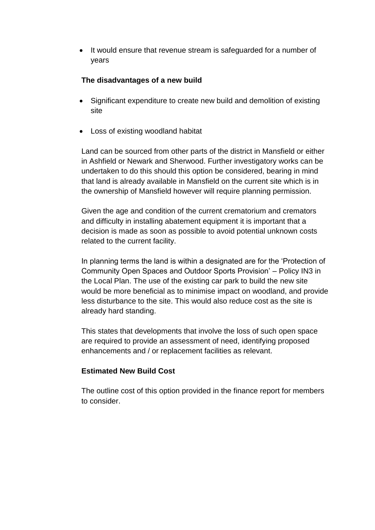• It would ensure that revenue stream is safeguarded for a number of years

# **The disadvantages of a new build**

- Significant expenditure to create new build and demolition of existing site
- Loss of existing woodland habitat

Land can be sourced from other parts of the district in Mansfield or either in Ashfield or Newark and Sherwood. Further investigatory works can be undertaken to do this should this option be considered, bearing in mind that land is already available in Mansfield on the current site which is in the ownership of Mansfield however will require planning permission.

Given the age and condition of the current crematorium and cremators and difficulty in installing abatement equipment it is important that a decision is made as soon as possible to avoid potential unknown costs related to the current facility.

In planning terms the land is within a designated are for the 'Protection of Community Open Spaces and Outdoor Sports Provision' – Policy IN3 in the Local Plan. The use of the existing car park to build the new site would be more beneficial as to minimise impact on woodland, and provide less disturbance to the site. This would also reduce cost as the site is already hard standing.

This states that developments that involve the loss of such open space are required to provide an assessment of need, identifying proposed enhancements and / or replacement facilities as relevant.

# **Estimated New Build Cost**

The outline cost of this option provided in the finance report for members to consider.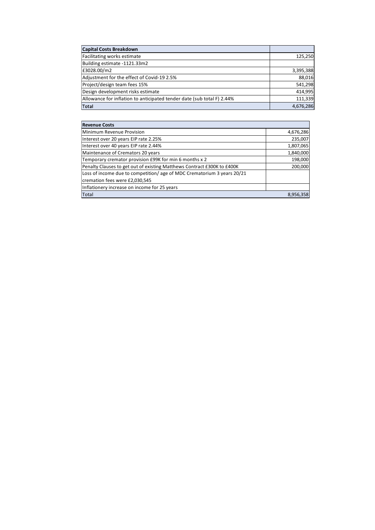| <b>Capital Costs Breakdown</b>                                         |           |
|------------------------------------------------------------------------|-----------|
| Facilitating works estimate                                            | 125,250   |
| Building estimate -1121.33m2                                           |           |
| £3028.00/m2                                                            | 3,395,388 |
| Adjustment for the effect of Covid-19 2.5%                             | 88,016    |
| Project/design team fees 15%                                           | 541,298   |
| Design development risks estimate                                      | 414,995   |
| Allowance for inflation to anticipated tender date (sub total F) 2.44% | 111,339   |
| Total                                                                  | 4,676,286 |

| <b>Revenue Costs</b>                                                    |           |
|-------------------------------------------------------------------------|-----------|
| Minimum Revenue Provision                                               | 4,676,286 |
| Interest over 20 years EIP rate 2.25%                                   | 235,007   |
| Interest over 40 years EIP rate 2.44%                                   | 1,807,065 |
| Maintenance of Cremators 20 years                                       | 1,840,000 |
| Temporary cremator provision £99K for min 6 months x 2                  | 198,000   |
| Penalty Clauses to get out of existing Matthews Contract £300K to £400K | 200,000   |
| Loss of income due to competition/age of MDC Crematorium 3 years 20/21  |           |
| cremation fees were £2,030,545                                          |           |
| Inflationery increase on income for 25 years                            |           |
| Total                                                                   | 8,956,358 |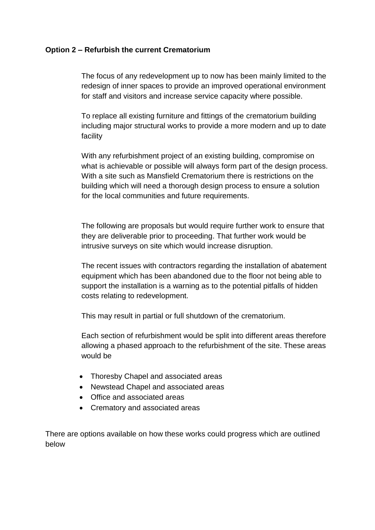## **Option 2 – Refurbish the current Crematorium**

The focus of any redevelopment up to now has been mainly limited to the redesign of inner spaces to provide an improved operational environment for staff and visitors and increase service capacity where possible.

To replace all existing furniture and fittings of the crematorium building including major structural works to provide a more modern and up to date facility

With any refurbishment project of an existing building, compromise on what is achievable or possible will always form part of the design process. With a site such as Mansfield Crematorium there is restrictions on the building which will need a thorough design process to ensure a solution for the local communities and future requirements.

The following are proposals but would require further work to ensure that they are deliverable prior to proceeding. That further work would be intrusive surveys on site which would increase disruption.

The recent issues with contractors regarding the installation of abatement equipment which has been abandoned due to the floor not being able to support the installation is a warning as to the potential pitfalls of hidden costs relating to redevelopment.

This may result in partial or full shutdown of the crematorium.

Each section of refurbishment would be split into different areas therefore allowing a phased approach to the refurbishment of the site. These areas would be

- Thoresby Chapel and associated areas
- Newstead Chapel and associated areas
- Office and associated areas
- Crematory and associated areas

There are options available on how these works could progress which are outlined below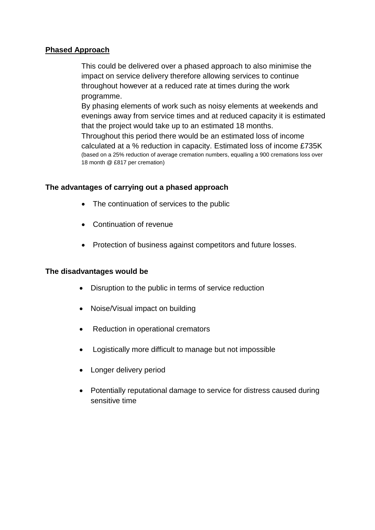## **Phased Approach**

This could be delivered over a phased approach to also minimise the impact on service delivery therefore allowing services to continue throughout however at a reduced rate at times during the work programme.

By phasing elements of work such as noisy elements at weekends and evenings away from service times and at reduced capacity it is estimated that the project would take up to an estimated 18 months.

Throughout this period there would be an estimated loss of income calculated at a % reduction in capacity. Estimated loss of income £735K (based on a 25% reduction of average cremation numbers, equalling a 900 cremations loss over 18 month @ £817 per cremation)

## **The advantages of carrying out a phased approach**

- The continuation of services to the public
- Continuation of revenue
- Protection of business against competitors and future losses.

### **The disadvantages would be**

- Disruption to the public in terms of service reduction
- Noise/Visual impact on building
- Reduction in operational cremators
- Logistically more difficult to manage but not impossible
- Longer delivery period
- Potentially reputational damage to service for distress caused during sensitive time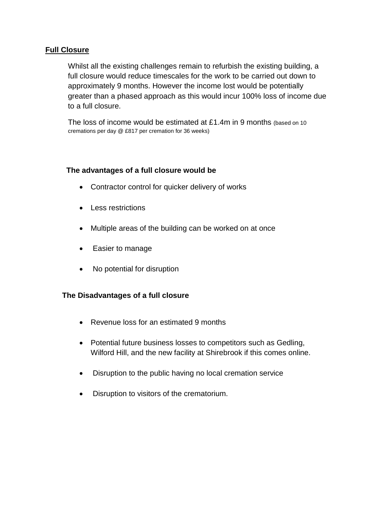# **Full Closure**

Whilst all the existing challenges remain to refurbish the existing building, a full closure would reduce timescales for the work to be carried out down to approximately 9 months. However the income lost would be potentially greater than a phased approach as this would incur 100% loss of income due to a full closure.

The loss of income would be estimated at £1.4m in 9 months (based on 10 cremations per day @ £817 per cremation for 36 weeks)

## **The advantages of a full closure would be**

- Contractor control for quicker delivery of works
- Less restrictions
- Multiple areas of the building can be worked on at once
- Easier to manage
- No potential for disruption

### **The Disadvantages of a full closure**

- Revenue loss for an estimated 9 months
- Potential future business losses to competitors such as Gedling, Wilford Hill, and the new facility at Shirebrook if this comes online.
- Disruption to the public having no local cremation service
- Disruption to visitors of the crematorium.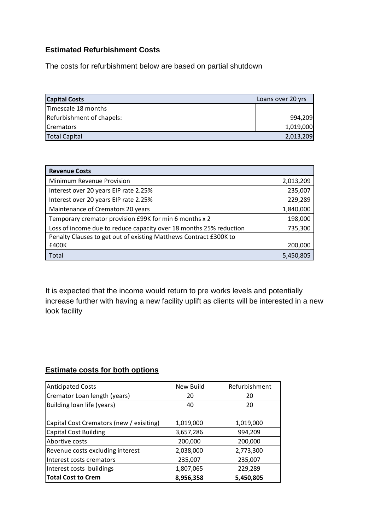# **Estimated Refurbishment Costs**

The costs for refurbishment below are based on partial shutdown

| <b>Capital Costs</b>      | Loans over 20 yrs |
|---------------------------|-------------------|
| Timescale 18 months       |                   |
| Refurbishment of chapels: | 994,209           |
| <b>ICremators</b>         | 1,019,000         |
| <b>Total Capital</b>      | 2,013,209         |

| <b>Revenue Costs</b>                                               |           |
|--------------------------------------------------------------------|-----------|
| Minimum Revenue Provision                                          | 2,013,209 |
| Interest over 20 years EIP rate 2.25%                              | 235,007   |
| Interest over 20 years EIP rate 2.25%                              | 229,289   |
| Maintenance of Cremators 20 years                                  | 1,840,000 |
| Temporary cremator provision £99K for min 6 months x 2             | 198,000   |
| Loss of income due to reduce capacity over 18 months 25% reduction | 735,300   |
| Penalty Clauses to get out of existing Matthews Contract £300K to  |           |
| £400K                                                              | 200,000   |
| Total                                                              | 5,450,805 |

It is expected that the income would return to pre works levels and potentially increase further with having a new facility uplift as clients will be interested in a new look facility

# **Estimate costs for both options**

| <b>Anticipated Costs</b>                 | New Build | Refurbishment |
|------------------------------------------|-----------|---------------|
| Cremator Loan length (years)             | 20        | 20            |
| Building loan life (years)               | 40        | 20            |
|                                          |           |               |
| Capital Cost Cremators (new / exisiting) | 1,019,000 | 1,019,000     |
| Capital Cost Building                    | 3,657,286 | 994,209       |
| Abortive costs                           | 200,000   | 200,000       |
| Revenue costs excluding interest         | 2,038,000 | 2,773,300     |
| Interest costs cremators                 | 235,007   | 235,007       |
| Interest costs buildings                 | 1,807,065 | 229,289       |
| <b>Total Cost to Crem</b>                | 8,956,358 | 5,450,805     |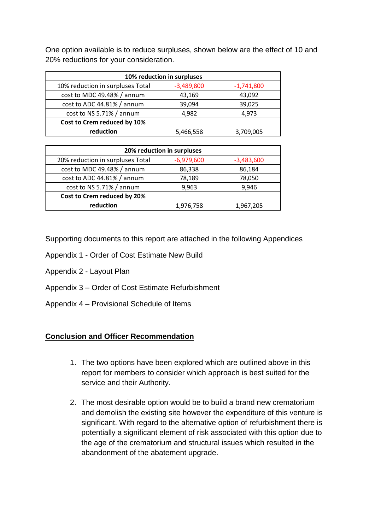One option available is to reduce surpluses, shown below are the effect of 10 and 20% reductions for your consideration.

| 10% reduction in surpluses       |              |              |  |
|----------------------------------|--------------|--------------|--|
| 10% reduction in surpluses Total | $-3,489,800$ | $-1,741,800$ |  |
| cost to MDC 49.48% / annum       | 43,169       | 43,092       |  |
| cost to ADC 44.81% / annum       | 39,094       | 39,025       |  |
| cost to NS 5.71% / annum         | 4,982        | 4,973        |  |
| Cost to Crem reduced by 10%      |              |              |  |
| reduction                        | 5,466,558    | 3,709,005    |  |

| 20% reduction in surpluses       |              |              |  |
|----------------------------------|--------------|--------------|--|
| 20% reduction in surpluses Total | $-6,979,600$ | $-3,483,600$ |  |
| cost to MDC 49.48% / annum       | 86,338       | 86,184       |  |
| cost to ADC 44.81% / annum       | 78,189       | 78,050       |  |
| cost to NS 5.71% / annum         | 9,963        | 9,946        |  |
| Cost to Crem reduced by 20%      |              |              |  |
| reduction                        | 1,976,758    | 1,967,205    |  |

Supporting documents to this report are attached in the following Appendices

- Appendix 1 Order of Cost Estimate New Build
- Appendix 2 Layout Plan
- Appendix 3 Order of Cost Estimate Refurbishment
- Appendix 4 Provisional Schedule of Items

### **Conclusion and Officer Recommendation**

- 1. The two options have been explored which are outlined above in this report for members to consider which approach is best suited for the service and their Authority.
- 2. The most desirable option would be to build a brand new crematorium and demolish the existing site however the expenditure of this venture is significant. With regard to the alternative option of refurbishment there is potentially a significant element of risk associated with this option due to the age of the crematorium and structural issues which resulted in the abandonment of the abatement upgrade.